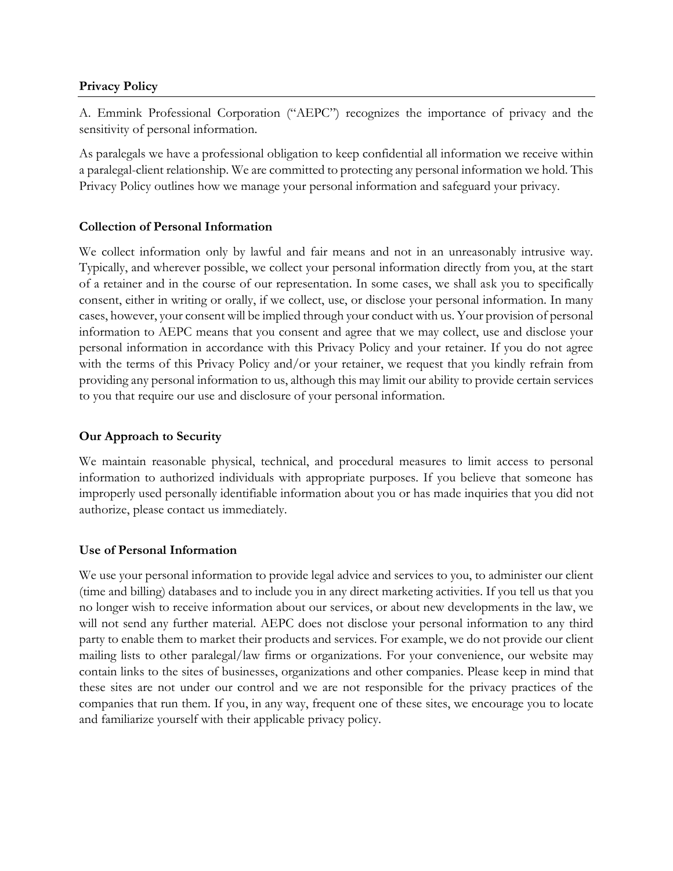## **Privacy Policy**

A. Emmink Professional Corporation ("AEPC") recognizes the importance of privacy and the sensitivity of personal information.

As paralegals we have a professional obligation to keep confidential all information we receive within a paralegal-client relationship. We are committed to protecting any personal information we hold. This Privacy Policy outlines how we manage your personal information and safeguard your privacy.

# **Collection of Personal Information**

We collect information only by lawful and fair means and not in an unreasonably intrusive way. Typically, and wherever possible, we collect your personal information directly from you, at the start of a retainer and in the course of our representation. In some cases, we shall ask you to specifically consent, either in writing or orally, if we collect, use, or disclose your personal information. In many cases, however, your consent will be implied through your conduct with us. Your provision of personal information to AEPC means that you consent and agree that we may collect, use and disclose your personal information in accordance with this Privacy Policy and your retainer. If you do not agree with the terms of this Privacy Policy and/or your retainer, we request that you kindly refrain from providing any personal information to us, although this may limit our ability to provide certain services to you that require our use and disclosure of your personal information.

## **Our Approach to Security**

We maintain reasonable physical, technical, and procedural measures to limit access to personal information to authorized individuals with appropriate purposes. If you believe that someone has improperly used personally identifiable information about you or has made inquiries that you did not authorize, please contact us immediately.

## **Use of Personal Information**

We use your personal information to provide legal advice and services to you, to administer our client (time and billing) databases and to include you in any direct marketing activities. If you tell us that you no longer wish to receive information about our services, or about new developments in the law, we will not send any further material. AEPC does not disclose your personal information to any third party to enable them to market their products and services. For example, we do not provide our client mailing lists to other paralegal/law firms or organizations. For your convenience, our website may contain links to the sites of businesses, organizations and other companies. Please keep in mind that these sites are not under our control and we are not responsible for the privacy practices of the companies that run them. If you, in any way, frequent one of these sites, we encourage you to locate and familiarize yourself with their applicable privacy policy.